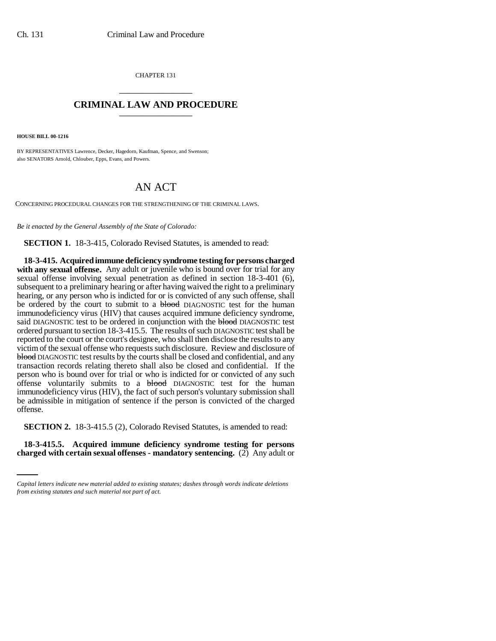CHAPTER 131 \_\_\_\_\_\_\_\_\_\_\_\_\_\_\_

## **CRIMINAL LAW AND PROCEDURE** \_\_\_\_\_\_\_\_\_\_\_\_\_\_\_

**HOUSE BILL 00-1216** 

BY REPRESENTATIVES Lawrence, Decker, Hagedorn, Kaufman, Spence, and Swenson; also SENATORS Arnold, Chlouber, Epps, Evans, and Powers.

## AN ACT

CONCERNING PROCEDURAL CHANGES FOR THE STRENGTHENING OF THE CRIMINAL LAWS.

*Be it enacted by the General Assembly of the State of Colorado:*

**SECTION 1.** 18-3-415, Colorado Revised Statutes, is amended to read:

**18-3-415. Acquired immune deficiency syndrome testing for persons charged with any sexual offense.** Any adult or juvenile who is bound over for trial for any sexual offense involving sexual penetration as defined in section 18-3-401 (6), subsequent to a preliminary hearing or after having waived the right to a preliminary hearing, or any person who is indicted for or is convicted of any such offense, shall be ordered by the court to submit to a **blood** DIAGNOSTIC test for the human immunodeficiency virus (HIV) that causes acquired immune deficiency syndrome, said DIAGNOSTIC test to be ordered in conjunction with the blood DIAGNOSTIC test ordered pursuant to section 18-3-415.5. The results of such DIAGNOSTIC test shall be reported to the court or the court's designee, who shall then disclose the results to any victim of the sexual offense who requests such disclosure. Review and disclosure of blood DIAGNOSTIC test results by the courts shall be closed and confidential, and any transaction records relating thereto shall also be closed and confidential. If the person who is bound over for trial or who is indicted for or convicted of any such offense voluntarily submits to a **blood** DIAGNOSTIC test for the human immunodeficiency virus (HIV), the fact of such person's voluntary submission shall be admissible in mitigation of sentence if the person is convicted of the charged offense.

**SECTION 2.** 18-3-415.5 (2), Colorado Revised Statutes, is amended to read:

**18-3-415.5. Acquired immune deficiency syndrome testing for persons charged with certain sexual offenses - mandatory sentencing.** (2) Any adult or

*Capital letters indicate new material added to existing statutes; dashes through words indicate deletions from existing statutes and such material not part of act.*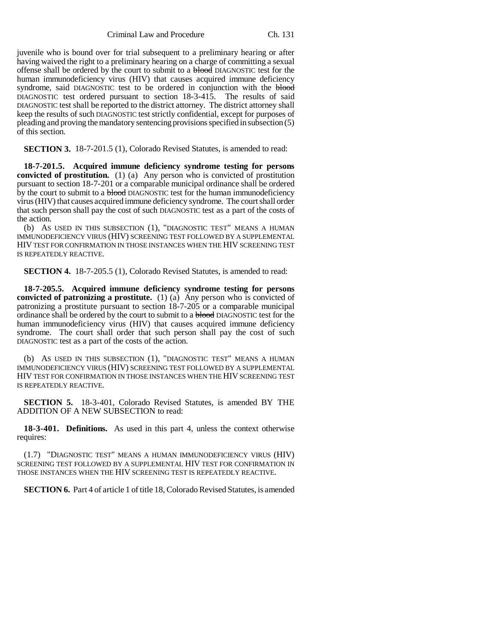Criminal Law and Procedure Ch. 131

juvenile who is bound over for trial subsequent to a preliminary hearing or after having waived the right to a preliminary hearing on a charge of committing a sexual offense shall be ordered by the court to submit to a blood DIAGNOSTIC test for the human immunodeficiency virus (HIV) that causes acquired immune deficiency syndrome, said DIAGNOSTIC test to be ordered in conjunction with the blood DIAGNOSTIC test ordered pursuant to section 18-3-415. The results of said DIAGNOSTIC test shall be reported to the district attorney. The district attorney shall keep the results of such DIAGNOSTIC test strictly confidential, except for purposes of pleading and proving the mandatory sentencing provisions specified in subsection (5) of this section.

**SECTION 3.** 18-7-201.5 (1), Colorado Revised Statutes, is amended to read:

**18-7-201.5. Acquired immune deficiency syndrome testing for persons convicted of prostitution.** (1) (a) Any person who is convicted of prostitution pursuant to section 18-7-201 or a comparable municipal ordinance shall be ordered by the court to submit to a **blood** DIAGNOSTIC test for the human immunodeficiency virus (HIV) that causes acquired immune deficiency syndrome. The court shall order that such person shall pay the cost of such DIAGNOSTIC test as a part of the costs of the action.

(b) AS USED IN THIS SUBSECTION (1), "DIAGNOSTIC TEST" MEANS A HUMAN IMMUNODEFICIENCY VIRUS (HIV) SCREENING TEST FOLLOWED BY A SUPPLEMENTAL HIV TEST FOR CONFIRMATION IN THOSE INSTANCES WHEN THE HIV SCREENING TEST IS REPEATEDLY REACTIVE.

**SECTION 4.** 18-7-205.5 (1), Colorado Revised Statutes, is amended to read:

**18-7-205.5. Acquired immune deficiency syndrome testing for persons convicted of patronizing a prostitute.** (1) (a) Any person who is convicted of patronizing a prostitute pursuant to section 18-7-205 or a comparable municipal ordinance shall be ordered by the court to submit to a **blood** DIAGNOSTIC test for the human immunodeficiency virus (HIV) that causes acquired immune deficiency syndrome. The court shall order that such person shall pay the cost of such DIAGNOSTIC test as a part of the costs of the action.

(b) AS USED IN THIS SUBSECTION (1), "DIAGNOSTIC TEST" MEANS A HUMAN IMMUNODEFICIENCY VIRUS (HIV) SCREENING TEST FOLLOWED BY A SUPPLEMENTAL HIV TEST FOR CONFIRMATION IN THOSE INSTANCES WHEN THE HIV SCREENING TEST IS REPEATEDLY REACTIVE.

**SECTION 5.** 18-3-401, Colorado Revised Statutes, is amended BY THE ADDITION OF A NEW SUBSECTION to read:

**18-3-401. Definitions.** As used in this part 4, unless the context otherwise requires:

(1.7) "DIAGNOSTIC TEST" MEANS A HUMAN IMMUNODEFICIENCY VIRUS (HIV) SCREENING TEST FOLLOWED BY A SUPPLEMENTAL HIV TEST FOR CONFIRMATION IN THOSE INSTANCES WHEN THE HIV SCREENING TEST IS REPEATEDLY REACTIVE.

**SECTION 6.** Part 4 of article 1 of title 18, Colorado Revised Statutes, is amended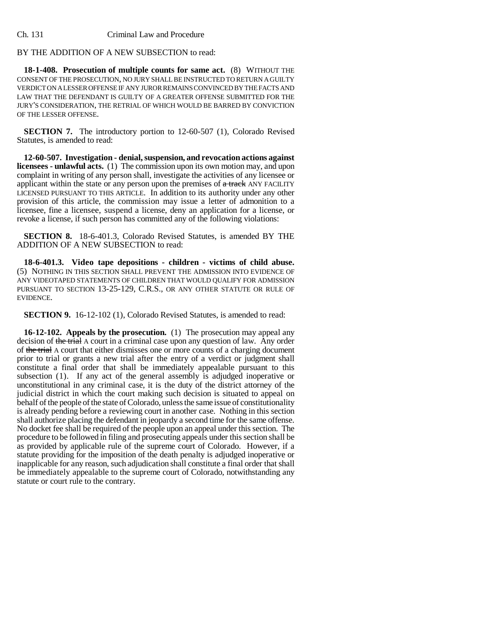## BY THE ADDITION OF A NEW SUBSECTION to read:

**18-1-408. Prosecution of multiple counts for same act.** (8) WITHOUT THE CONSENT OF THE PROSECUTION, NO JURY SHALL BE INSTRUCTED TO RETURN A GUILTY VERDICT ON A LESSER OFFENSE IF ANY JUROR REMAINS CONVINCED BY THE FACTS AND LAW THAT THE DEFENDANT IS GUILTY OF A GREATER OFFENSE SUBMITTED FOR THE JURY'S CONSIDERATION, THE RETRIAL OF WHICH WOULD BE BARRED BY CONVICTION OF THE LESSER OFFENSE.

**SECTION 7.** The introductory portion to 12-60-507 (1), Colorado Revised Statutes, is amended to read:

**12-60-507. Investigation - denial, suspension, and revocation actions against licensees - unlawful acts.** (1) The commission upon its own motion may, and upon complaint in writing of any person shall, investigate the activities of any licensee or applicant within the state or any person upon the premises of  $a$  track ANY FACILITY LICENSED PURSUANT TO THIS ARTICLE. In addition to its authority under any other provision of this article, the commission may issue a letter of admonition to a licensee, fine a licensee, suspend a license, deny an application for a license, or revoke a license, if such person has committed any of the following violations:

**SECTION 8.** 18-6-401.3, Colorado Revised Statutes, is amended BY THE ADDITION OF A NEW SUBSECTION to read:

**18-6-401.3. Video tape depositions - children - victims of child abuse.** (5) NOTHING IN THIS SECTION SHALL PREVENT THE ADMISSION INTO EVIDENCE OF ANY VIDEOTAPED STATEMENTS OF CHILDREN THAT WOULD QUALIFY FOR ADMISSION PURSUANT TO SECTION 13-25-129, C.R.S., OR ANY OTHER STATUTE OR RULE OF EVIDENCE.

**SECTION 9.** 16-12-102 (1), Colorado Revised Statutes, is amended to read:

**16-12-102. Appeals by the prosecution.** (1) The prosecution may appeal any decision of the trial A court in a criminal case upon any question of law. Any order of the trial A court that either dismisses one or more counts of a charging document prior to trial or grants a new trial after the entry of a verdict or judgment shall constitute a final order that shall be immediately appealable pursuant to this subsection (1). If any act of the general assembly is adjudged inoperative or unconstitutional in any criminal case, it is the duty of the district attorney of the judicial district in which the court making such decision is situated to appeal on behalf of the people of the state of Colorado, unless the same issue of constitutionality is already pending before a reviewing court in another case. Nothing in this section shall authorize placing the defendant in jeopardy a second time for the same offense. No docket fee shall be required of the people upon an appeal under this section. The procedure to be followed in filing and prosecuting appeals under this section shall be as provided by applicable rule of the supreme court of Colorado. However, if a statute providing for the imposition of the death penalty is adjudged inoperative or inapplicable for any reason, such adjudication shall constitute a final order that shall be immediately appealable to the supreme court of Colorado, notwithstanding any statute or court rule to the contrary.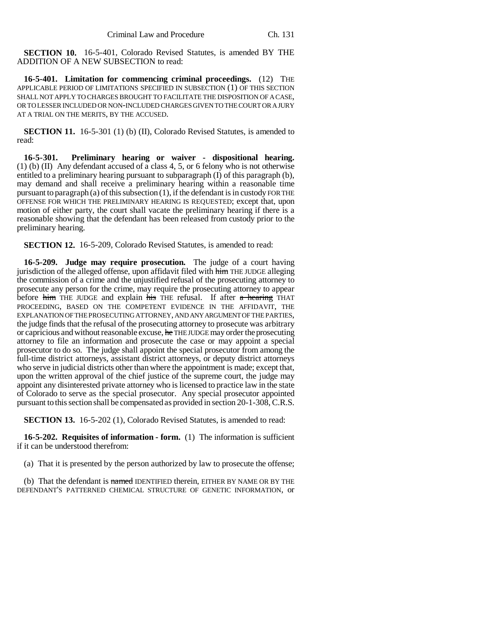**SECTION 10.** 16-5-401, Colorado Revised Statutes, is amended BY THE ADDITION OF A NEW SUBSECTION to read:

**16-5-401. Limitation for commencing criminal proceedings.** (12) THE APPLICABLE PERIOD OF LIMITATIONS SPECIFIED IN SUBSECTION (1) OF THIS SECTION SHALL NOT APPLY TO CHARGES BROUGHT TO FACILITATE THE DISPOSITION OF A CASE, OR TO LESSER INCLUDED OR NON-INCLUDED CHARGES GIVEN TO THE COURT OR A JURY AT A TRIAL ON THE MERITS, BY THE ACCUSED.

**SECTION 11.** 16-5-301 (1) (b) (II), Colorado Revised Statutes, is amended to read:

**16-5-301. Preliminary hearing or waiver - dispositional hearing.** (1) (b) (II) Any defendant accused of a class 4, 5, or 6 felony who is not otherwise entitled to a preliminary hearing pursuant to subparagraph (I) of this paragraph (b), may demand and shall receive a preliminary hearing within a reasonable time pursuant to paragraph (a) of this subsection (1), if the defendant is in custody FOR THE OFFENSE FOR WHICH THE PRELIMINARY HEARING IS REQUESTED; except that, upon motion of either party, the court shall vacate the preliminary hearing if there is a reasonable showing that the defendant has been released from custody prior to the preliminary hearing.

**SECTION 12.** 16-5-209, Colorado Revised Statutes, is amended to read:

**16-5-209. Judge may require prosecution.** The judge of a court having jurisdiction of the alleged offense, upon affidavit filed with him THE JUDGE alleging the commission of a crime and the unjustified refusal of the prosecuting attorney to prosecute any person for the crime, may require the prosecuting attorney to appear before him THE JUDGE and explain his THE refusal. If after a hearing THAT PROCEEDING, BASED ON THE COMPETENT EVIDENCE IN THE AFFIDAVIT, THE EXPLANATION OF THE PROSECUTING ATTORNEY, AND ANY ARGUMENT OF THE PARTIES, the judge finds that the refusal of the prosecuting attorney to prosecute was arbitrary or capricious and without reasonable excuse, he THE JUDGE may order the prosecuting attorney to file an information and prosecute the case or may appoint a special prosecutor to do so. The judge shall appoint the special prosecutor from among the full-time district attorneys, assistant district attorneys, or deputy district attorneys who serve in judicial districts other than where the appointment is made; except that, upon the written approval of the chief justice of the supreme court, the judge may appoint any disinterested private attorney who is licensed to practice law in the state of Colorado to serve as the special prosecutor. Any special prosecutor appointed pursuant to this section shall be compensated as provided in section 20-1-308, C.R.S.

**SECTION 13.** 16-5-202 (1), Colorado Revised Statutes, is amended to read:

**16-5-202. Requisites of information - form.** (1) The information is sufficient if it can be understood therefrom:

(a) That it is presented by the person authorized by law to prosecute the offense;

(b) That the defendant is named IDENTIFIED therein, EITHER BY NAME OR BY THE DEFENDANT'S PATTERNED CHEMICAL STRUCTURE OF GENETIC INFORMATION, or